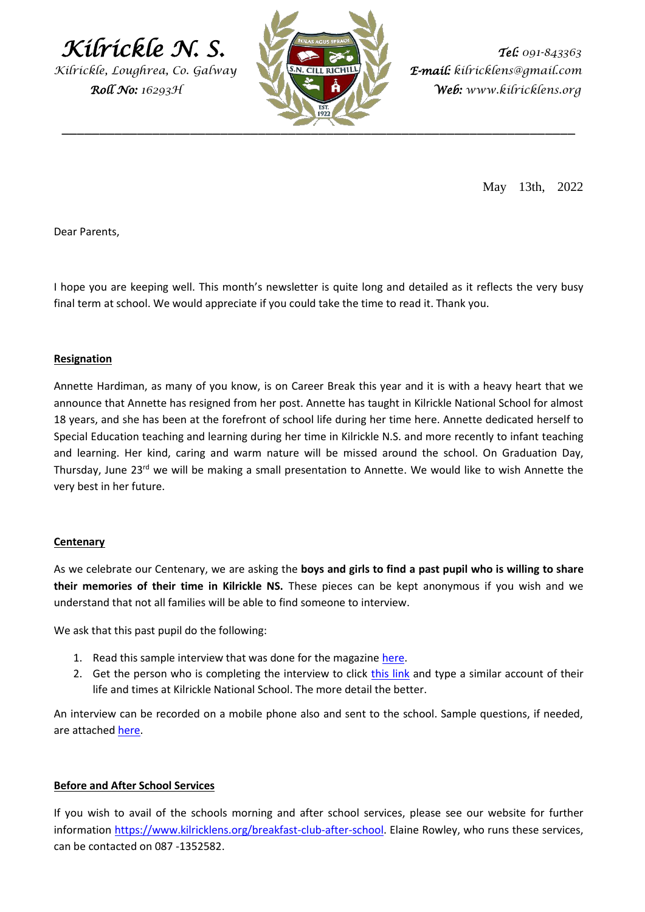$Kifrickle N. S.$  *Tel:*  $091-843363$ 

*Kilrickle, Loughrea, Co. Galway E-mail: kilricklens@gmail.com* 



 *Roll No: 16293H Web: www.kilricklens.org*

May 13th, 2022

Dear Parents,

I hope you are keeping well. This month's newsletter is quite long and detailed as it reflects the very busy final term at school. We would appreciate if you could take the time to read it. Thank you.

## **Resignation**

Annette Hardiman, as many of you know, is on Career Break this year and it is with a heavy heart that we announce that Annette has resigned from her post. Annette has taught in Kilrickle National School for almost 18 years, and she has been at the forefront of school life during her time here. Annette dedicated herself to Special Education teaching and learning during her time in Kilrickle N.S. and more recently to infant teaching and learning. Her kind, caring and warm nature will be missed around the school. On Graduation Day, Thursday, June 23<sup>rd</sup> we will be making a small presentation to Annette. We would like to wish Annette the very best in her future.

## **Centenary**

As we celebrate our Centenary, we are asking the **boys and girls to find a past pupil who is willing to share their memories of their time in Kilrickle NS.** These pieces can be kept anonymous if you wish and we understand that not all families will be able to find someone to interview.

We ask that this past pupil do the following:

- 1. Read this sample interview that was done for the magazine [here.](https://docs.google.com/document/d/1qwJTsJW1hneofzh0NRDLMxtYbEPQ2XHWvDFnWgL37qI/edit?usp=sharing)
- 2. Get the person who is completing the interview to click [this link](https://docs.google.com/forms/d/e/1FAIpQLScvViZTWpXT1WczCWOuqGfEnojqXlo_mvplqzTGKSXkS_Bthg/viewform?usp=pp_url) and type a similar account of their life and times at Kilrickle National School. The more detail the better.

An interview can be recorded on a mobile phone also and sent to the school. Sample questions, if needed, are attached [here.](https://docs.google.com/forms/d/e/1FAIpQLScvViZTWpXT1WczCWOuqGfEnojqXlo_mvplqzTGKSXkS_Bthg/viewform?usp=pp_url)

# **Before and After School Services**

If you wish to avail of the schools morning and after school services, please see our website for further information [https://www.kilricklens.org/breakfast-club-after-school.](https://www.kilricklens.org/breakfast-club-after-school) Elaine Rowley, who runs these services, can be contacted on 087 -1352582.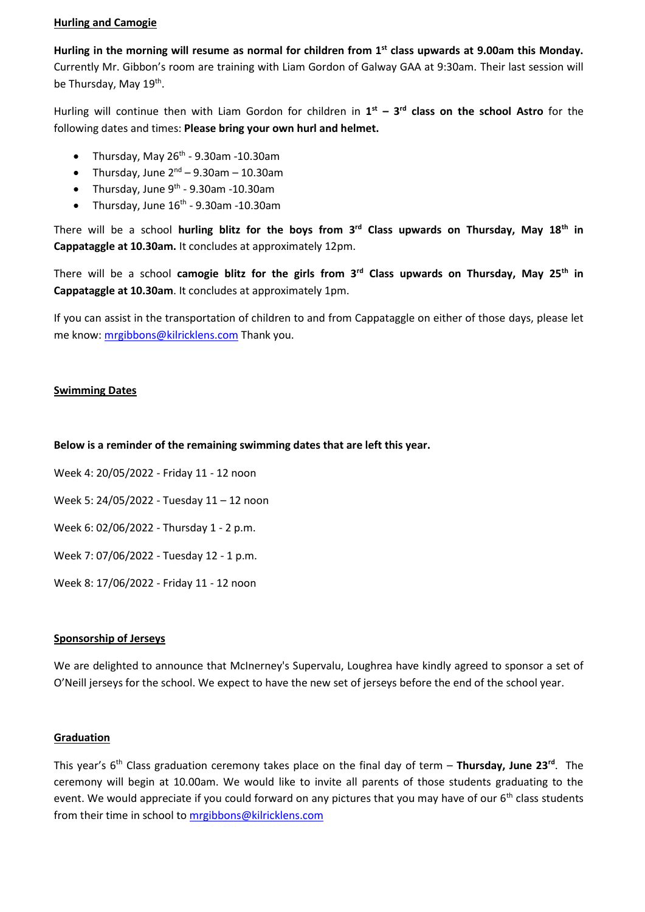## **Hurling and Camogie**

**Hurling in the morning will resume as normal for children from 1st class upwards at 9.00am this Monday.** Currently Mr. Gibbon's room are training with Liam Gordon of Galway GAA at 9:30am. Their last session will be Thursday, May 19<sup>th</sup>.

Hurling will continue then with Liam Gordon for children in **1 st – 3 rd class on the school Astro** for the following dates and times: **Please bring your own hurl and helmet.**

- Thursday, May  $26^{th}$  9.30am -10.30am
- Thursday, June  $2^{nd}$  9.30am 10.30am
- Thursday, June  $9<sup>th</sup>$  9.30am -10.30am
- Thursday, June  $16<sup>th</sup>$  9.30am -10.30am

There will be a school **hurling blitz for the boys from 3 rd Class upwards on Thursday, May 18th in Cappataggle at 10.30am.** It concludes at approximately 12pm.

There will be a school **camogie blitz for the girls from 3 rd Class upwards on Thursday, May 25th in Cappataggle at 10.30am**. It concludes at approximately 1pm.

If you can assist in the transportation of children to and from Cappataggle on either of those days, please let me know: [mrgibbons@kilricklens.com](mailto:mrgibbons@kilricklens.com) Thank you.

# **Swimming Dates**

## **Below is a reminder of the remaining swimming dates that are left this year.**

Week 4: 20/05/2022 - Friday 11 - 12 noon

Week 5: 24/05/2022 - Tuesday 11 – 12 noon

Week 6: 02/06/2022 - Thursday 1 - 2 p.m.

Week 7: 07/06/2022 - Tuesday 12 - 1 p.m.

Week 8: 17/06/2022 - Friday 11 - 12 noon

## **Sponsorship of Jerseys**

We are delighted to announce that McInerney's Supervalu, Loughrea have kindly agreed to sponsor a set of O'Neill jerseys for the school. We expect to have the new set of jerseys before the end of the school year.

## **Graduation**

This year's 6 th Class graduation ceremony takes place on the final day of term – **Thursday, June 23rd**. The ceremony will begin at 10.00am. We would like to invite all parents of those students graduating to the event. We would appreciate if you could forward on any pictures that you may have of our  $6<sup>th</sup>$  class students from their time in school to [mrgibbons@kilricklens.com](mailto:mrgibbons@kilricklens.com)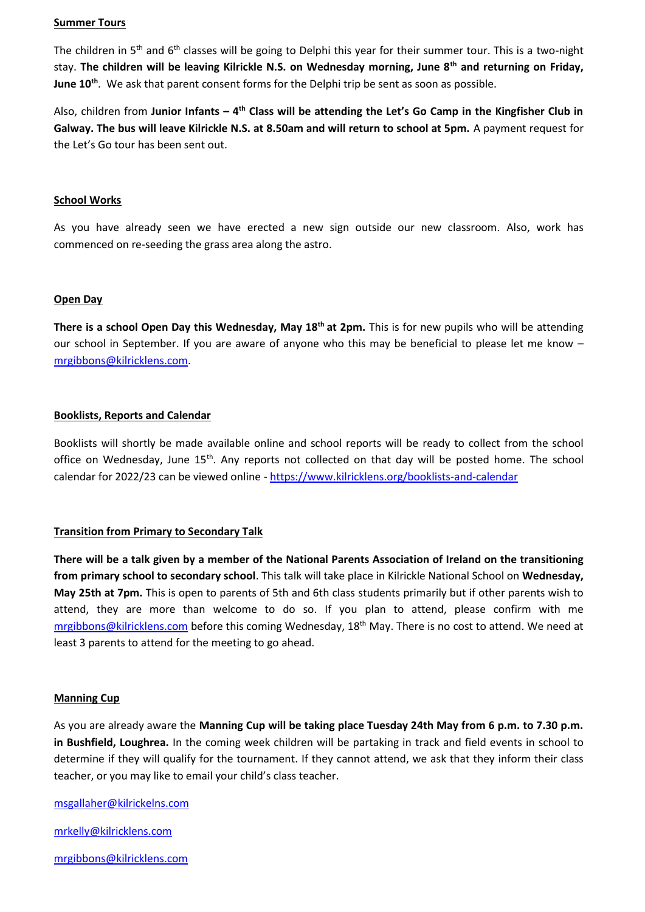#### **Summer Tours**

The children in 5<sup>th</sup> and 6<sup>th</sup> classes will be going to Delphi this year for their summer tour. This is a two-night stay. **The children will be leaving Kilrickle N.S. on Wednesday morning, June 8th and returning on Friday, June 10th** . We ask that parent consent forms for the Delphi trip be sent as soon as possible.

Also, children from Junior Infants – 4<sup>th</sup> Class will be attending the Let's Go Camp in the Kingfisher Club in **Galway. The bus will leave Kilrickle N.S. at 8.50am and will return to school at 5pm.** A payment request for the Let's Go tour has been sent out.

#### **School Works**

As you have already seen we have erected a new sign outside our new classroom. Also, work has commenced on re-seeding the grass area along the astro.

#### **Open Day**

**There is a school Open Day this Wednesday, May 18th at 2pm.** This is for new pupils who will be attending our school in September. If you are aware of anyone who this may be beneficial to please let me know – [mrgibbons@kilricklens.com.](mailto:mrgibbons@kilricklens.com)

#### **Booklists, Reports and Calendar**

Booklists will shortly be made available online and school reports will be ready to collect from the school office on Wednesday, June 15<sup>th</sup>. Any reports not collected on that day will be posted home. The school calendar for 2022/23 can be viewed online - <https://www.kilricklens.org/booklists-and-calendar>

## **Transition from Primary to Secondary Talk**

**There will be a talk given by a member of the National Parents Association of Ireland on the transitioning from primary school to secondary school**. This talk will take place in Kilrickle National School on **Wednesday, May 25th at 7pm.** This is open to parents of 5th and 6th class students primarily but if other parents wish to attend, they are more than welcome to do so. If you plan to attend, please confirm with me [mrgibbons@kilricklens.com](mailto:mrgibbons@kilricklens.com) before this coming Wednesday,  $18<sup>th</sup>$  May. There is no cost to attend. We need at least 3 parents to attend for the meeting to go ahead.

#### **Manning Cup**

As you are already aware the **Manning Cup will be taking place Tuesday 24th May from 6 p.m. to 7.30 p.m. in Bushfield, Loughrea.** In the coming week children will be partaking in track and field events in school to determine if they will qualify for the tournament. If they cannot attend, we ask that they inform their class teacher, or you may like to email your child's class teacher.

[msgallaher@kilrickelns.com](mailto:msgallaher@kilrickelns.com)

[mrkelly@kilricklens.com](mailto:mrkelly@kilricklens.com)

[mrgibbons@kilricklens.com](mailto:mrgibbons@kilricklens.com)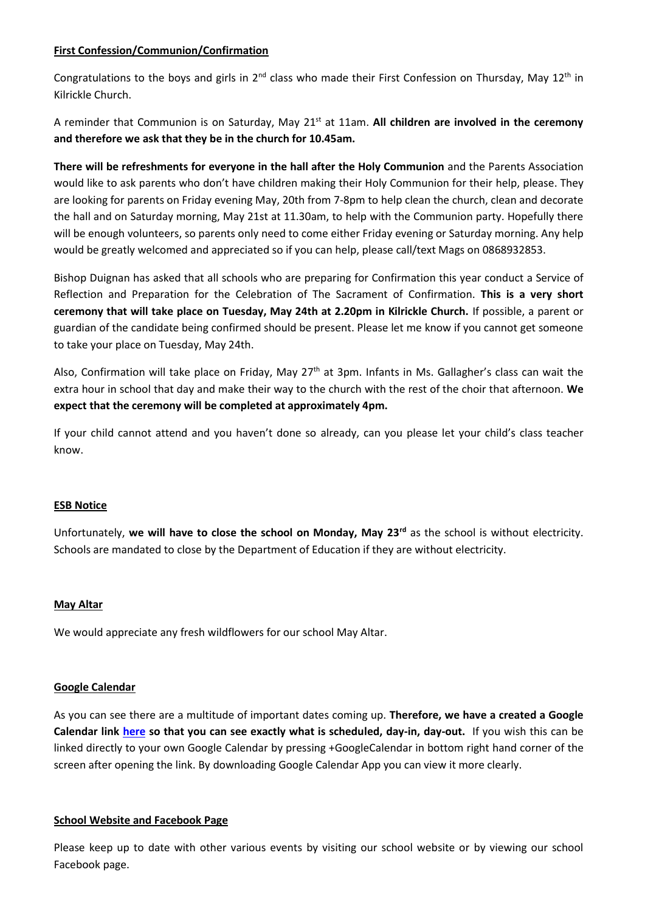# **First Confession/Communion/Confirmation**

Congratulations to the boys and girls in  $2^{nd}$  class who made their First Confession on Thursday, May 12<sup>th</sup> in Kilrickle Church.

A reminder that Communion is on Saturday, May 21st at 11am. **All children are involved in the ceremony and therefore we ask that they be in the church for 10.45am.**

**There will be refreshments for everyone in the hall after the Holy Communion** and the Parents Association would like to ask parents who don't have children making their Holy Communion for their help, please. They are looking for parents on Friday evening May, 20th from 7-8pm to help clean the church, clean and decorate the hall and on Saturday morning, May 21st at 11.30am, to help with the Communion party. Hopefully there will be enough volunteers, so parents only need to come either Friday evening or Saturday morning. Any help would be greatly welcomed and appreciated so if you can help, please call/text Mags on 0868932853.

Bishop Duignan has asked that all schools who are preparing for Confirmation this year conduct a Service of Reflection and Preparation for the Celebration of The Sacrament of Confirmation. **This is a very short ceremony that will take place on Tuesday, May 24th at 2.20pm in Kilrickle Church.** If possible, a parent or guardian of the candidate being confirmed should be present. Please let me know if you cannot get someone to take your place on Tuesday, May 24th.

Also, Confirmation will take place on Friday, May 27<sup>th</sup> at 3pm. Infants in Ms. Gallagher's class can wait the extra hour in school that day and make their way to the church with the rest of the choir that afternoon. **We expect that the ceremony will be completed at approximately 4pm.**

If your child cannot attend and you haven't done so already, can you please let your child's class teacher know.

## **ESB Notice**

Unfortunately, **we will have to close the school on Monday, May 23rd** as the school is without electricity. Schools are mandated to close by the Department of Education if they are without electricity.

## **May Altar**

We would appreciate any fresh wildflowers for our school May Altar.

## **Google Calendar**

As you can see there are a multitude of important dates coming up. **Therefore, we have a created a Google Calendar link [here](https://calendar.google.com/calendar/embed?src=kilricklens%40gmail.com&ctz=Europe%2FDublin) so that you can see exactly what is scheduled, day-in, day-out.** If you wish this can be linked directly to your own Google Calendar by pressing +GoogleCalendar in bottom right hand corner of the screen after opening the link. By downloading Google Calendar App you can view it more clearly.

## **School Website and Facebook Page**

Please keep up to date with other various events by visiting our school website or by viewing our school Facebook page.